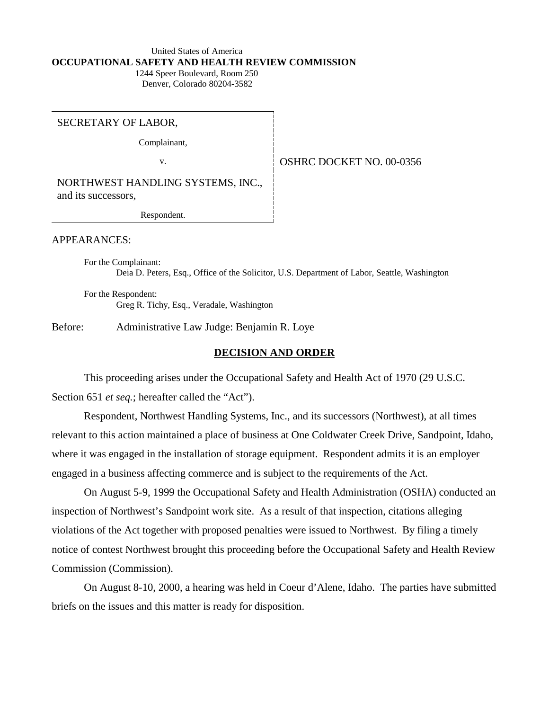#### United States of America **OCCUPATIONAL SAFETY AND HEALTH REVIEW COMMISSION** 1244 Speer Boulevard, Room 250

Denver, Colorado 80204-3582

SECRETARY OF LABOR,

Complainant,

v. **SEPTER SERVICE DOCKET NO. 00-0356** 

NORTHWEST HANDLING SYSTEMS, INC., and its successors,

Respondent.

APPEARANCES:

For the Complainant: Deia D. Peters, Esq., Office of the Solicitor, U.S. Department of Labor, Seattle, Washington

For the Respondent: Greg R. Tichy, Esq., Veradale, Washington

Before: Administrative Law Judge: Benjamin R. Loye

#### **DECISION AND ORDER**

This proceeding arises under the Occupational Safety and Health Act of 1970 (29 U.S.C. Section 651 *et seq.*; hereafter called the "Act").

Respondent, Northwest Handling Systems, Inc., and its successors (Northwest), at all times relevant to this action maintained a place of business at One Coldwater Creek Drive, Sandpoint, Idaho, where it was engaged in the installation of storage equipment. Respondent admits it is an employer engaged in a business affecting commerce and is subject to the requirements of the Act.

On August 5-9, 1999 the Occupational Safety and Health Administration (OSHA) conducted an inspection of Northwest's Sandpoint work site. As a result of that inspection, citations alleging violations of the Act together with proposed penalties were issued to Northwest. By filing a timely notice of contest Northwest brought this proceeding before the Occupational Safety and Health Review Commission (Commission).

On August 8-10, 2000, a hearing was held in Coeur d'Alene, Idaho. The parties have submitted briefs on the issues and this matter is ready for disposition.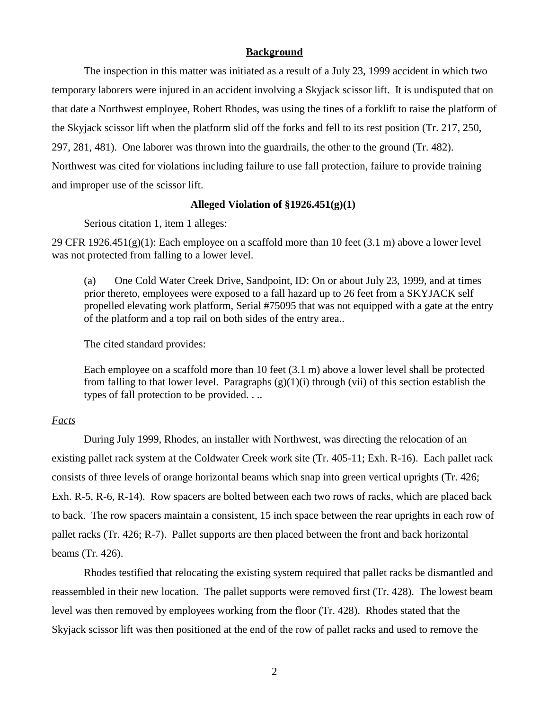### **Background**

The inspection in this matter was initiated as a result of a July 23, 1999 accident in which two temporary laborers were injured in an accident involving a Skyjack scissor lift. It is undisputed that on that date a Northwest employee, Robert Rhodes, was using the tines of a forklift to raise the platform of the Skyjack scissor lift when the platform slid off the forks and fell to its rest position (Tr. 217, 250, 297, 281, 481). One laborer was thrown into the guardrails, the other to the ground (Tr. 482). Northwest was cited for violations including failure to use fall protection, failure to provide training and improper use of the scissor lift.

## **Alleged Violation of §1926.451(g)(1)**

Serious citation 1, item 1 alleges:

29 CFR  $1926.451(g)(1)$ : Each employee on a scaffold more than 10 feet (3.1 m) above a lower level was not protected from falling to a lower level.

(a) One Cold Water Creek Drive, Sandpoint, ID: On or about July 23, 1999, and at times prior thereto, employees were exposed to a fall hazard up to 26 feet from a SKYJACK self propelled elevating work platform, Serial #75095 that was not equipped with a gate at the entry of the platform and a top rail on both sides of the entry area..

The cited standard provides:

Each employee on a scaffold more than 10 feet (3.1 m) above a lower level shall be protected from falling to that lower level. Paragraphs  $(g)(1)(i)$  through (vii) of this section establish the types of fall protection to be provided. . ..

## *Facts*

During July 1999, Rhodes, an installer with Northwest, was directing the relocation of an existing pallet rack system at the Coldwater Creek work site (Tr. 405-11; Exh. R-16). Each pallet rack consists of three levels of orange horizontal beams which snap into green vertical uprights (Tr. 426; Exh. R-5, R-6, R-14). Row spacers are bolted between each two rows of racks, which are placed back to back. The row spacers maintain a consistent, 15 inch space between the rear uprights in each row of pallet racks (Tr. 426; R-7). Pallet supports are then placed between the front and back horizontal beams (Tr. 426).

Rhodes testified that relocating the existing system required that pallet racks be dismantled and reassembled in their new location. The pallet supports were removed first (Tr. 428). The lowest beam level was then removed by employees working from the floor (Tr. 428). Rhodes stated that the Skyjack scissor lift was then positioned at the end of the row of pallet racks and used to remove the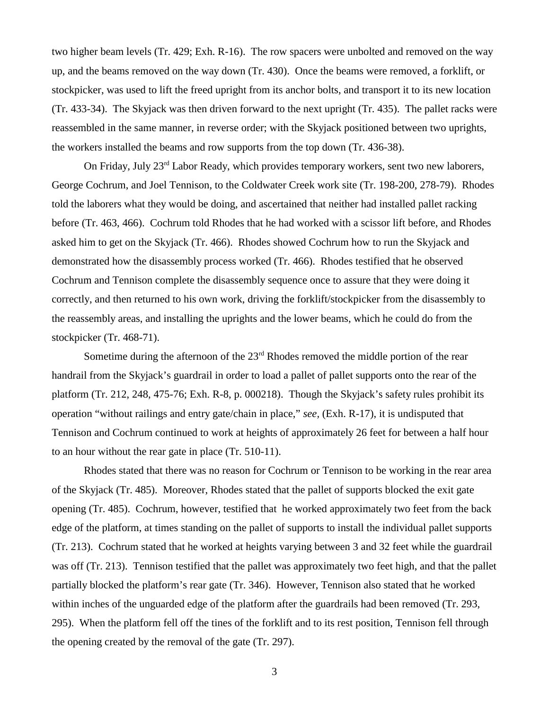two higher beam levels (Tr. 429; Exh. R-16). The row spacers were unbolted and removed on the way up, and the beams removed on the way down (Tr. 430). Once the beams were removed, a forklift, or stockpicker, was used to lift the freed upright from its anchor bolts, and transport it to its new location (Tr. 433-34). The Skyjack was then driven forward to the next upright (Tr. 435). The pallet racks were reassembled in the same manner, in reverse order; with the Skyjack positioned between two uprights, the workers installed the beams and row supports from the top down (Tr. 436-38).

On Friday, July 23rd Labor Ready, which provides temporary workers, sent two new laborers, George Cochrum, and Joel Tennison, to the Coldwater Creek work site (Tr. 198-200, 278-79). Rhodes told the laborers what they would be doing, and ascertained that neither had installed pallet racking before (Tr. 463, 466). Cochrum told Rhodes that he had worked with a scissor lift before, and Rhodes asked him to get on the Skyjack (Tr. 466). Rhodes showed Cochrum how to run the Skyjack and demonstrated how the disassembly process worked (Tr. 466). Rhodes testified that he observed Cochrum and Tennison complete the disassembly sequence once to assure that they were doing it correctly, and then returned to his own work, driving the forklift/stockpicker from the disassembly to the reassembly areas, and installing the uprights and the lower beams, which he could do from the stockpicker (Tr. 468-71).

Sometime during the afternoon of the  $23<sup>rd</sup>$  Rhodes removed the middle portion of the rear handrail from the Skyjack's guardrail in order to load a pallet of pallet supports onto the rear of the platform (Tr. 212, 248, 475-76; Exh. R-8, p. 000218). Though the Skyjack's safety rules prohibit its operation "without railings and entry gate/chain in place," *see,* (Exh. R-17), it is undisputed that Tennison and Cochrum continued to work at heights of approximately 26 feet for between a half hour to an hour without the rear gate in place (Tr. 510-11).

Rhodes stated that there was no reason for Cochrum or Tennison to be working in the rear area of the Skyjack (Tr. 485). Moreover, Rhodes stated that the pallet of supports blocked the exit gate opening (Tr. 485). Cochrum, however, testified that he worked approximately two feet from the back edge of the platform, at times standing on the pallet of supports to install the individual pallet supports (Tr. 213). Cochrum stated that he worked at heights varying between 3 and 32 feet while the guardrail was off (Tr. 213). Tennison testified that the pallet was approximately two feet high, and that the pallet partially blocked the platform's rear gate (Tr. 346). However, Tennison also stated that he worked within inches of the unguarded edge of the platform after the guardrails had been removed (Tr. 293, 295). When the platform fell off the tines of the forklift and to its rest position, Tennison fell through the opening created by the removal of the gate (Tr. 297).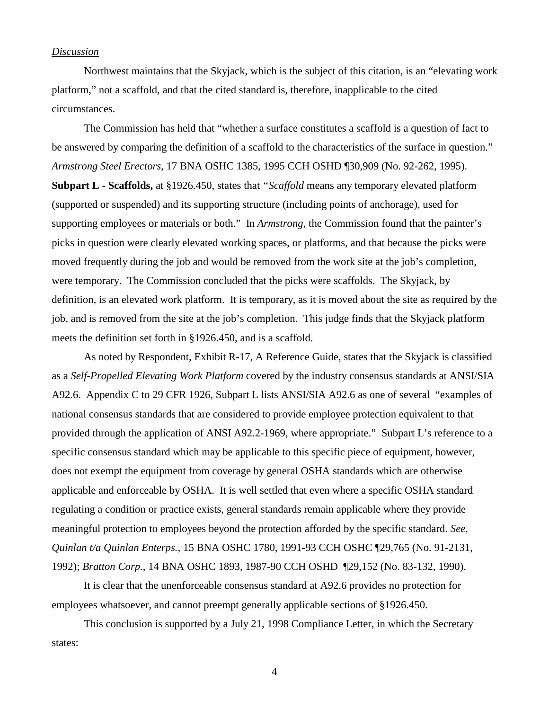### *Discussion*

 Northwest maintains that the Skyjack, which is the subject of this citation, is an "elevating work platform," not a scaffold, and that the cited standard is, therefore, inapplicable to the cited circumstances.

The Commission has held that "whether a surface constitutes a scaffold is a question of fact to be answered by comparing the definition of a scaffold to the characteristics of the surface in question." *Armstrong Steel Erectors*, 17 BNA OSHC 1385, 1995 CCH OSHD ¶30,909 (No. 92-262, 1995). **Subpart L - Scaffolds,** at §1926.450, states that *"Scaffold* means any temporary elevated platform (supported or suspended) and its supporting structure (including points of anchorage), used for supporting employees or materials or both." In *Armstrong,* the Commission found that the painter's picks in question were clearly elevated working spaces, or platforms, and that because the picks were moved frequently during the job and would be removed from the work site at the job's completion, were temporary. The Commission concluded that the picks were scaffolds. The Skyjack, by definition, is an elevated work platform. It is temporary, as it is moved about the site as required by the job, and is removed from the site at the job's completion. This judge finds that the Skyjack platform meets the definition set forth in §1926.450, and is a scaffold.

As noted by Respondent, Exhibit R-17, A Reference Guide, states that the Skyjack is classified as a *Self-Propelled Elevating Work Platform* covered by the industry consensus standards at ANSI/SIA A92.6. Appendix C to 29 CFR 1926, Subpart L lists ANSI/SIA A92.6 as one of several "examples of national consensus standards that are considered to provide employee protection equivalent to that provided through the application of ANSI A92.2-1969, where appropriate." Subpart L's reference to a specific consensus standard which may be applicable to this specific piece of equipment, however, does not exempt the equipment from coverage by general OSHA standards which are otherwise applicable and enforceable by OSHA. It is well settled that even where a specific OSHA standard regulating a condition or practice exists, general standards remain applicable where they provide meaningful protection to employees beyond the protection afforded by the specific standard. *See, Quinlan t/a Quinlan Enterps.,* 15 BNA OSHC 1780, 1991-93 CCH OSHC ¶29,765 (No. 91-2131, 1992); *Bratton Corp.*, 14 BNA OSHC 1893, 1987-90 CCH OSHD ¶29,152 (No. 83-132, 1990).

It is clear that the unenforceable consensus standard at A92.6 provides no protection for employees whatsoever, and cannot preempt generally applicable sections of §1926.450.

This conclusion is supported by a July 21, 1998 Compliance Letter, in which the Secretary states: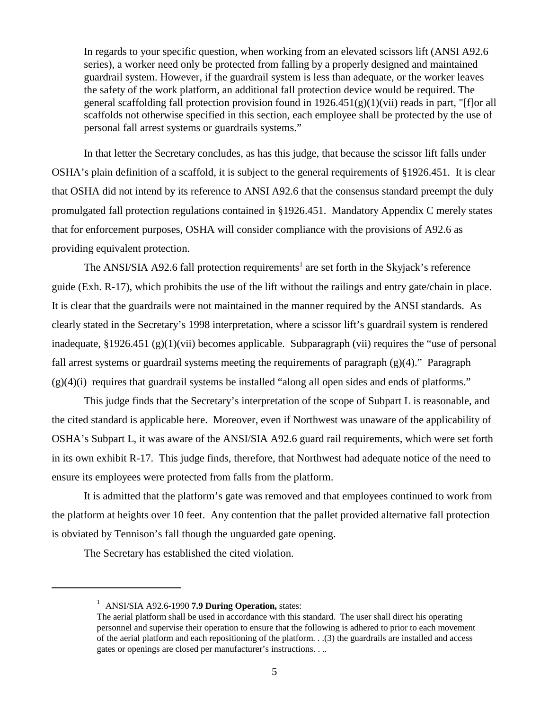In regards to your specific question, when working from an elevated scissors lift (ANSI A92.6 series), a worker need only be protected from falling by a properly designed and maintained guardrail system. However, if the guardrail system is less than adequate, or the worker leaves the safety of the work platform, an additional fall protection device would be required. The general scaffolding fall protection provision found in  $1926.451(g)(1)(vi)$  reads in part, "[f]or all scaffolds not otherwise specified in this section, each employee shall be protected by the use of personal fall arrest systems or guardrails systems."

In that letter the Secretary concludes, as has this judge, that because the scissor lift falls under OSHA's plain definition of a scaffold, it is subject to the general requirements of §1926.451. It is clear that OSHA did not intend by its reference to ANSI A92.6 that the consensus standard preempt the duly promulgated fall protection regulations contained in §1926.451. Mandatory Appendix C merely states that for enforcement purposes, OSHA will consider compliance with the provisions of A92.6 as providing equivalent protection.

The ANSI/SIA A92.6 fall protection requirements<sup>1</sup> are set forth in the Skyjack's reference guide (Exh. R-17), which prohibits the use of the lift without the railings and entry gate/chain in place. It is clear that the guardrails were not maintained in the manner required by the ANSI standards. As clearly stated in the Secretary's 1998 interpretation, where a scissor lift's guardrail system is rendered inadequate, §1926.451 (g)(1)(vii) becomes applicable. Subparagraph (vii) requires the "use of personal fall arrest systems or guardrail systems meeting the requirements of paragraph (g)(4)." Paragraph  $(g)(4)(i)$  requires that guardrail systems be installed "along all open sides and ends of platforms."

This judge finds that the Secretary's interpretation of the scope of Subpart L is reasonable, and the cited standard is applicable here. Moreover, even if Northwest was unaware of the applicability of OSHA's Subpart L, it was aware of the ANSI/SIA A92.6 guard rail requirements, which were set forth in its own exhibit R-17. This judge finds, therefore, that Northwest had adequate notice of the need to ensure its employees were protected from falls from the platform.

It is admitted that the platform's gate was removed and that employees continued to work from the platform at heights over 10 feet. Any contention that the pallet provided alternative fall protection is obviated by Tennison's fall though the unguarded gate opening.

The Secretary has established the cited violation.

<sup>&</sup>lt;sup>1</sup> ANSI/SIA A92.6-1990 **7.9 During Operation**, states:

The aerial platform shall be used in accordance with this standard. The user shall direct his operating personnel and supervise their operation to ensure that the following is adhered to prior to each movement of the aerial platform and each repositioning of the platform. . .(3) the guardrails are installed and access gates or openings are closed per manufacturer's instructions. . ..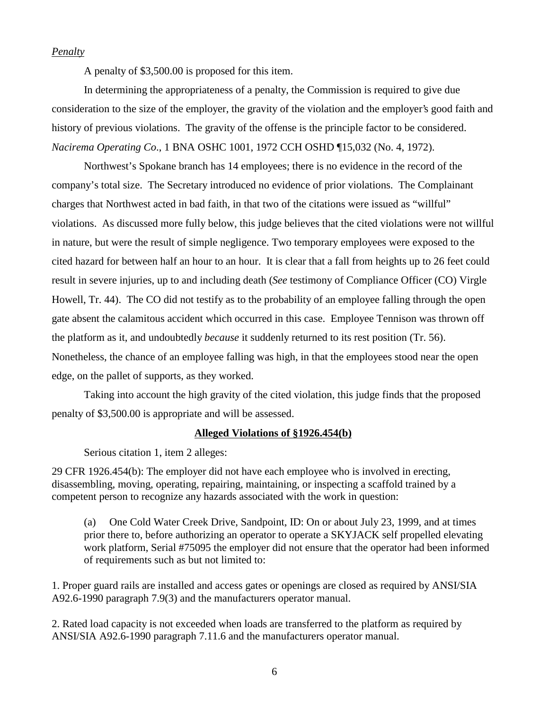# *Penalty*

A penalty of \$3,500.00 is proposed for this item.

In determining the appropriateness of a penalty, the Commission is required to give due consideration to the size of the employer, the gravity of the violation and the employer's good faith and history of previous violations. The gravity of the offense is the principle factor to be considered. *Nacirema Operating Co*., 1 BNA OSHC 1001, 1972 CCH OSHD ¶15,032 (No. 4, 1972).

Northwest's Spokane branch has 14 employees; there is no evidence in the record of the company's total size. The Secretary introduced no evidence of prior violations. The Complainant charges that Northwest acted in bad faith, in that two of the citations were issued as "willful" violations. As discussed more fully below, this judge believes that the cited violations were not willful in nature, but were the result of simple negligence. Two temporary employees were exposed to the cited hazard for between half an hour to an hour. It is clear that a fall from heights up to 26 feet could result in severe injuries, up to and including death (*See* testimony of Compliance Officer (CO) Virgle Howell, Tr. 44). The CO did not testify as to the probability of an employee falling through the open gate absent the calamitous accident which occurred in this case. Employee Tennison was thrown off the platform as it, and undoubtedly *because* it suddenly returned to its rest position (Tr. 56). Nonetheless, the chance of an employee falling was high, in that the employees stood near the open edge, on the pallet of supports, as they worked.

Taking into account the high gravity of the cited violation, this judge finds that the proposed penalty of \$3,500.00 is appropriate and will be assessed.

### **Alleged Violations of §1926.454(b)**

Serious citation 1, item 2 alleges:

29 CFR 1926.454(b): The employer did not have each employee who is involved in erecting, disassembling, moving, operating, repairing, maintaining, or inspecting a scaffold trained by a competent person to recognize any hazards associated with the work in question:

(a) One Cold Water Creek Drive, Sandpoint, ID: On or about July 23, 1999, and at times prior there to, before authorizing an operator to operate a SKYJACK self propelled elevating work platform, Serial #75095 the employer did not ensure that the operator had been informed of requirements such as but not limited to:

1. Proper guard rails are installed and access gates or openings are closed as required by ANSI/SIA A92.6-1990 paragraph 7.9(3) and the manufacturers operator manual.

2. Rated load capacity is not exceeded when loads are transferred to the platform as required by ANSI/SIA A92.6-1990 paragraph 7.11.6 and the manufacturers operator manual.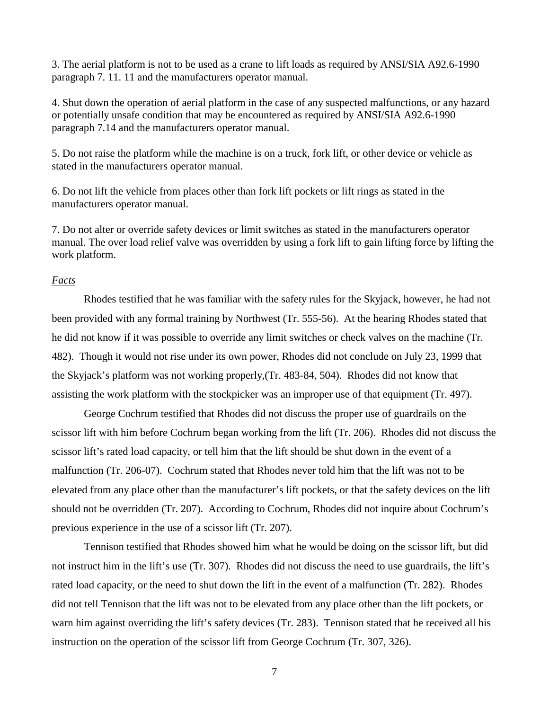3. The aerial platform is not to be used as a crane to lift loads as required by ANSI/SIA A92.6-1990 paragraph 7. 11. 11 and the manufacturers operator manual.

4. Shut down the operation of aerial platform in the case of any suspected malfunctions, or any hazard or potentially unsafe condition that may be encountered as required by ANSI/SIA A92.6-1990 paragraph 7.14 and the manufacturers operator manual.

5. Do not raise the platform while the machine is on a truck, fork lift, or other device or vehicle as stated in the manufacturers operator manual.

6. Do not lift the vehicle from places other than fork lift pockets or lift rings as stated in the manufacturers operator manual.

7. Do not alter or override safety devices or limit switches as stated in the manufacturers operator manual. The over load relief valve was overridden by using a fork lift to gain lifting force by lifting the work platform.

## *Facts*

Rhodes testified that he was familiar with the safety rules for the Skyjack, however, he had not been provided with any formal training by Northwest (Tr. 555-56). At the hearing Rhodes stated that he did not know if it was possible to override any limit switches or check valves on the machine (Tr. 482). Though it would not rise under its own power, Rhodes did not conclude on July 23, 1999 that the Skyjack's platform was not working properly,(Tr. 483-84, 504). Rhodes did not know that assisting the work platform with the stockpicker was an improper use of that equipment (Tr. 497).

George Cochrum testified that Rhodes did not discuss the proper use of guardrails on the scissor lift with him before Cochrum began working from the lift (Tr. 206). Rhodes did not discuss the scissor lift's rated load capacity, or tell him that the lift should be shut down in the event of a malfunction (Tr. 206-07). Cochrum stated that Rhodes never told him that the lift was not to be elevated from any place other than the manufacturer's lift pockets, or that the safety devices on the lift should not be overridden (Tr. 207). According to Cochrum, Rhodes did not inquire about Cochrum's previous experience in the use of a scissor lift (Tr. 207).

Tennison testified that Rhodes showed him what he would be doing on the scissor lift, but did not instruct him in the lift's use (Tr. 307). Rhodes did not discuss the need to use guardrails, the lift's rated load capacity, or the need to shut down the lift in the event of a malfunction (Tr. 282). Rhodes did not tell Tennison that the lift was not to be elevated from any place other than the lift pockets, or warn him against overriding the lift's safety devices (Tr. 283). Tennison stated that he received all his instruction on the operation of the scissor lift from George Cochrum (Tr. 307, 326).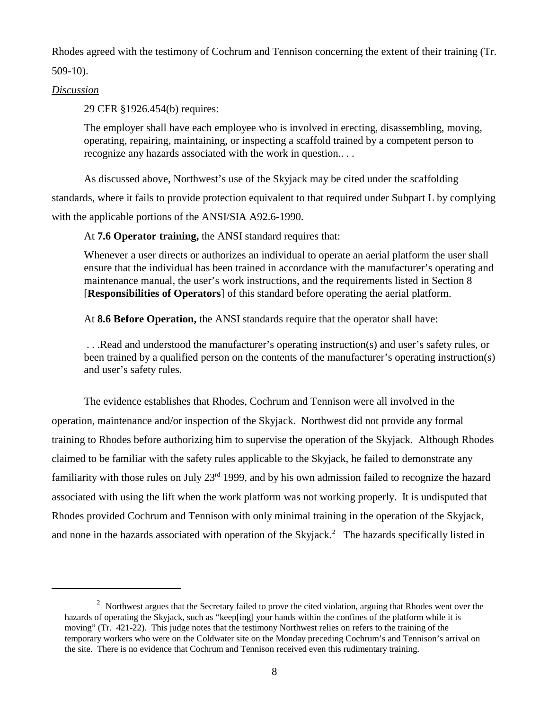Rhodes agreed with the testimony of Cochrum and Tennison concerning the extent of their training (Tr.

509-10).

# *Discussion*

29 CFR §1926.454(b) requires:

The employer shall have each employee who is involved in erecting, disassembling, moving, operating, repairing, maintaining, or inspecting a scaffold trained by a competent person to recognize any hazards associated with the work in question.. . .

As discussed above, Northwest's use of the Skyjack may be cited under the scaffolding standards, where it fails to provide protection equivalent to that required under Subpart L by complying with the applicable portions of the ANSI/SIA A92.6-1990.

At **7.6 Operator training,** the ANSI standard requires that:

Whenever a user directs or authorizes an individual to operate an aerial platform the user shall ensure that the individual has been trained in accordance with the manufacturer's operating and maintenance manual, the user's work instructions, and the requirements listed in Section 8 [**Responsibilities of Operators**] of this standard before operating the aerial platform.

At **8.6 Before Operation,** the ANSI standards require that the operator shall have:

 . . .Read and understood the manufacturer's operating instruction(s) and user's safety rules, or been trained by a qualified person on the contents of the manufacturer's operating instruction(s) and user's safety rules.

The evidence establishes that Rhodes, Cochrum and Tennison were all involved in the operation, maintenance and/or inspection of the Skyjack. Northwest did not provide any formal training to Rhodes before authorizing him to supervise the operation of the Skyjack. Although Rhodes claimed to be familiar with the safety rules applicable to the Skyjack, he failed to demonstrate any familiarity with those rules on July 23<sup>rd</sup> 1999, and by his own admission failed to recognize the hazard associated with using the lift when the work platform was not working properly. It is undisputed that Rhodes provided Cochrum and Tennison with only minimal training in the operation of the Skyjack, and none in the hazards associated with operation of the Skyjack.<sup>2</sup> The hazards specifically listed in

<sup>&</sup>lt;sup>2</sup> Northwest argues that the Secretary failed to prove the cited violation, arguing that Rhodes went over the hazards of operating the Skyjack, such as "keep[ing] your hands within the confines of the platform while it is moving" (Tr. 421-22). This judge notes that the testimony Northwest relies on refers to the training of the temporary workers who were on the Coldwater site on the Monday preceding Cochrum's and Tennison's arrival on the site. There is no evidence that Cochrum and Tennison received even this rudimentary training.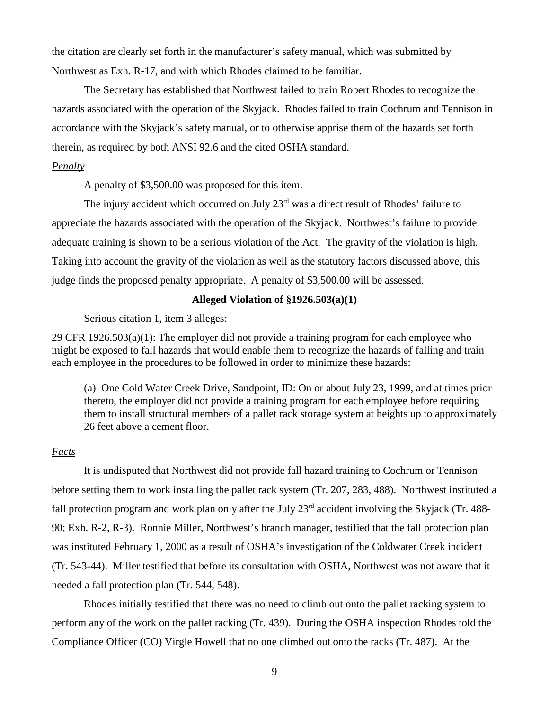the citation are clearly set forth in the manufacturer's safety manual, which was submitted by Northwest as Exh. R-17, and with which Rhodes claimed to be familiar.

The Secretary has established that Northwest failed to train Robert Rhodes to recognize the hazards associated with the operation of the Skyjack. Rhodes failed to train Cochrum and Tennison in accordance with the Skyjack's safety manual, or to otherwise apprise them of the hazards set forth therein, as required by both ANSI 92.6 and the cited OSHA standard.

# *Penalty*

A penalty of \$3,500.00 was proposed for this item.

The injury accident which occurred on July  $23<sup>rd</sup>$  was a direct result of Rhodes' failure to appreciate the hazards associated with the operation of the Skyjack. Northwest's failure to provide adequate training is shown to be a serious violation of the Act. The gravity of the violation is high. Taking into account the gravity of the violation as well as the statutory factors discussed above, this judge finds the proposed penalty appropriate. A penalty of \$3,500.00 will be assessed.

### **Alleged Violation of §1926.503(a)(1)**

Serious citation 1, item 3 alleges:

29 CFR 1926.503(a)(1): The employer did not provide a training program for each employee who might be exposed to fall hazards that would enable them to recognize the hazards of falling and train each employee in the procedures to be followed in order to minimize these hazards:

(a) One Cold Water Creek Drive, Sandpoint, ID: On or about July 23, 1999, and at times prior thereto, the employer did not provide a training program for each employee before requiring them to install structural members of a pallet rack storage system at heights up to approximately 26 feet above a cement floor.

### *Facts*

It is undisputed that Northwest did not provide fall hazard training to Cochrum or Tennison before setting them to work installing the pallet rack system (Tr. 207, 283, 488). Northwest instituted a fall protection program and work plan only after the July  $23<sup>rd</sup>$  accident involving the Skyjack (Tr. 488-90; Exh. R-2, R-3). Ronnie Miller, Northwest's branch manager, testified that the fall protection plan was instituted February 1, 2000 as a result of OSHA's investigation of the Coldwater Creek incident (Tr. 543-44). Miller testified that before its consultation with OSHA, Northwest was not aware that it needed a fall protection plan (Tr. 544, 548).

Rhodes initially testified that there was no need to climb out onto the pallet racking system to perform any of the work on the pallet racking (Tr. 439). During the OSHA inspection Rhodes told the Compliance Officer (CO) Virgle Howell that no one climbed out onto the racks (Tr. 487). At the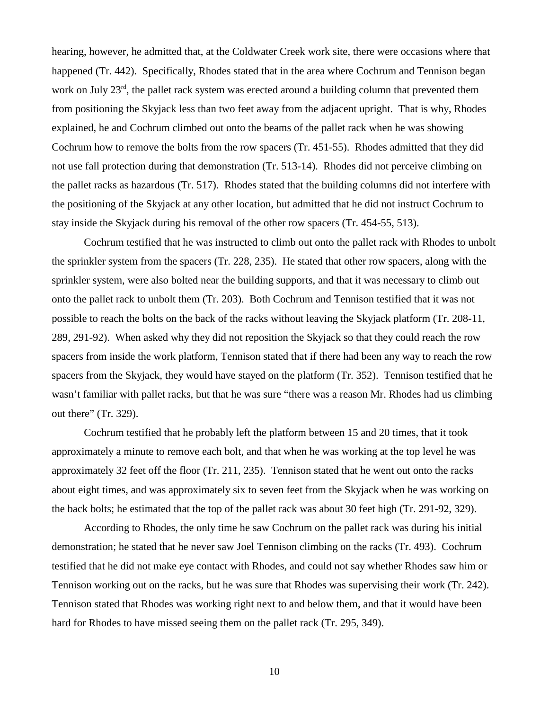hearing, however, he admitted that, at the Coldwater Creek work site, there were occasions where that happened (Tr. 442). Specifically, Rhodes stated that in the area where Cochrum and Tennison began work on July 23<sup>rd</sup>, the pallet rack system was erected around a building column that prevented them from positioning the Skyjack less than two feet away from the adjacent upright. That is why, Rhodes explained, he and Cochrum climbed out onto the beams of the pallet rack when he was showing Cochrum how to remove the bolts from the row spacers (Tr. 451-55). Rhodes admitted that they did not use fall protection during that demonstration (Tr. 513-14). Rhodes did not perceive climbing on the pallet racks as hazardous (Tr. 517). Rhodes stated that the building columns did not interfere with the positioning of the Skyjack at any other location, but admitted that he did not instruct Cochrum to stay inside the Skyjack during his removal of the other row spacers (Tr. 454-55, 513).

Cochrum testified that he was instructed to climb out onto the pallet rack with Rhodes to unbolt the sprinkler system from the spacers (Tr. 228, 235). He stated that other row spacers, along with the sprinkler system, were also bolted near the building supports, and that it was necessary to climb out onto the pallet rack to unbolt them (Tr. 203). Both Cochrum and Tennison testified that it was not possible to reach the bolts on the back of the racks without leaving the Skyjack platform (Tr. 208-11, 289, 291-92). When asked why they did not reposition the Skyjack so that they could reach the row spacers from inside the work platform, Tennison stated that if there had been any way to reach the row spacers from the Skyjack, they would have stayed on the platform (Tr. 352). Tennison testified that he wasn't familiar with pallet racks, but that he was sure "there was a reason Mr. Rhodes had us climbing out there" (Tr. 329).

Cochrum testified that he probably left the platform between 15 and 20 times, that it took approximately a minute to remove each bolt, and that when he was working at the top level he was approximately 32 feet off the floor (Tr. 211, 235). Tennison stated that he went out onto the racks about eight times, and was approximately six to seven feet from the Skyjack when he was working on the back bolts; he estimated that the top of the pallet rack was about 30 feet high (Tr. 291-92, 329).

According to Rhodes, the only time he saw Cochrum on the pallet rack was during his initial demonstration; he stated that he never saw Joel Tennison climbing on the racks (Tr. 493). Cochrum testified that he did not make eye contact with Rhodes, and could not say whether Rhodes saw him or Tennison working out on the racks, but he was sure that Rhodes was supervising their work (Tr. 242). Tennison stated that Rhodes was working right next to and below them, and that it would have been hard for Rhodes to have missed seeing them on the pallet rack (Tr. 295, 349).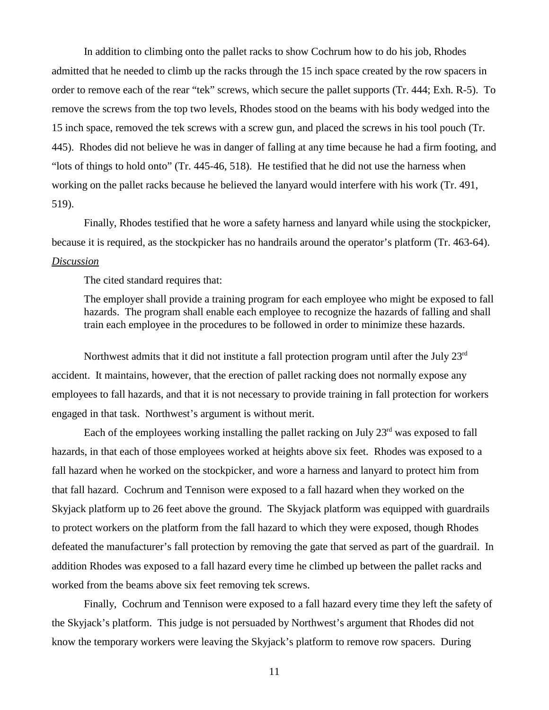In addition to climbing onto the pallet racks to show Cochrum how to do his job, Rhodes admitted that he needed to climb up the racks through the 15 inch space created by the row spacers in order to remove each of the rear "tek" screws, which secure the pallet supports (Tr. 444; Exh. R-5). To remove the screws from the top two levels, Rhodes stood on the beams with his body wedged into the 15 inch space, removed the tek screws with a screw gun, and placed the screws in his tool pouch (Tr. 445). Rhodes did not believe he was in danger of falling at any time because he had a firm footing, and "lots of things to hold onto" (Tr. 445-46, 518). He testified that he did not use the harness when working on the pallet racks because he believed the lanyard would interfere with his work (Tr. 491, 519).

Finally, Rhodes testified that he wore a safety harness and lanyard while using the stockpicker, because it is required, as the stockpicker has no handrails around the operator's platform (Tr. 463-64). *Discussion*

The cited standard requires that:

The employer shall provide a training program for each employee who might be exposed to fall hazards. The program shall enable each employee to recognize the hazards of falling and shall train each employee in the procedures to be followed in order to minimize these hazards.

Northwest admits that it did not institute a fall protection program until after the July 23rd accident. It maintains, however, that the erection of pallet racking does not normally expose any employees to fall hazards, and that it is not necessary to provide training in fall protection for workers engaged in that task. Northwest's argument is without merit.

Each of the employees working installing the pallet racking on July  $23<sup>rd</sup>$  was exposed to fall hazards, in that each of those employees worked at heights above six feet. Rhodes was exposed to a fall hazard when he worked on the stockpicker, and wore a harness and lanyard to protect him from that fall hazard. Cochrum and Tennison were exposed to a fall hazard when they worked on the Skyjack platform up to 26 feet above the ground. The Skyjack platform was equipped with guardrails to protect workers on the platform from the fall hazard to which they were exposed, though Rhodes defeated the manufacturer's fall protection by removing the gate that served as part of the guardrail. In addition Rhodes was exposed to a fall hazard every time he climbed up between the pallet racks and worked from the beams above six feet removing tek screws.

Finally, Cochrum and Tennison were exposed to a fall hazard every time they left the safety of the Skyjack's platform. This judge is not persuaded by Northwest's argument that Rhodes did not know the temporary workers were leaving the Skyjack's platform to remove row spacers. During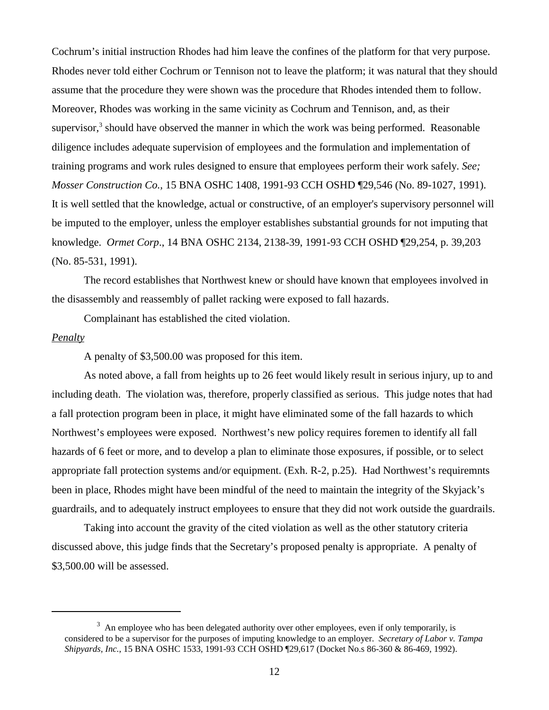Cochrum's initial instruction Rhodes had him leave the confines of the platform for that very purpose. Rhodes never told either Cochrum or Tennison not to leave the platform; it was natural that they should assume that the procedure they were shown was the procedure that Rhodes intended them to follow. Moreover, Rhodes was working in the same vicinity as Cochrum and Tennison, and, as their supervisor, $3$  should have observed the manner in which the work was being performed. Reasonable diligence includes adequate supervision of employees and the formulation and implementation of training programs and work rules designed to ensure that employees perform their work safely. *See; Mosser Construction Co.,* 15 BNA OSHC 1408, 1991-93 CCH OSHD ¶29,546 (No. 89-1027, 1991). It is well settled that the knowledge, actual or constructive, of an employer's supervisory personnel will be imputed to the employer, unless the employer establishes substantial grounds for not imputing that knowledge. *Ormet Corp*., 14 BNA OSHC 2134, 2138-39, 1991-93 CCH OSHD ¶29,254, p. 39,203 (No. 85-531, 1991).

The record establishes that Northwest knew or should have known that employees involved in the disassembly and reassembly of pallet racking were exposed to fall hazards.

Complainant has established the cited violation.

# *Penalty*

A penalty of \$3,500.00 was proposed for this item.

As noted above, a fall from heights up to 26 feet would likely result in serious injury, up to and including death. The violation was, therefore, properly classified as serious. This judge notes that had a fall protection program been in place, it might have eliminated some of the fall hazards to which Northwest's employees were exposed. Northwest's new policy requires foremen to identify all fall hazards of 6 feet or more, and to develop a plan to eliminate those exposures, if possible, or to select appropriate fall protection systems and/or equipment. (Exh. R-2, p.25). Had Northwest's requiremnts been in place, Rhodes might have been mindful of the need to maintain the integrity of the Skyjack's guardrails, and to adequately instruct employees to ensure that they did not work outside the guardrails.

Taking into account the gravity of the cited violation as well as the other statutory criteria discussed above, this judge finds that the Secretary's proposed penalty is appropriate. A penalty of \$3,500.00 will be assessed.

 $3\,$  An employee who has been delegated authority over other employees, even if only temporarily, is considered to be a supervisor for the purposes of imputing knowledge to an employer. *Secretary of Labor v. Tampa Shipyards, Inc.*, 15 BNA OSHC 1533, 1991-93 CCH OSHD ¶29,617 (Docket No.s 86-360 & 86-469, 1992).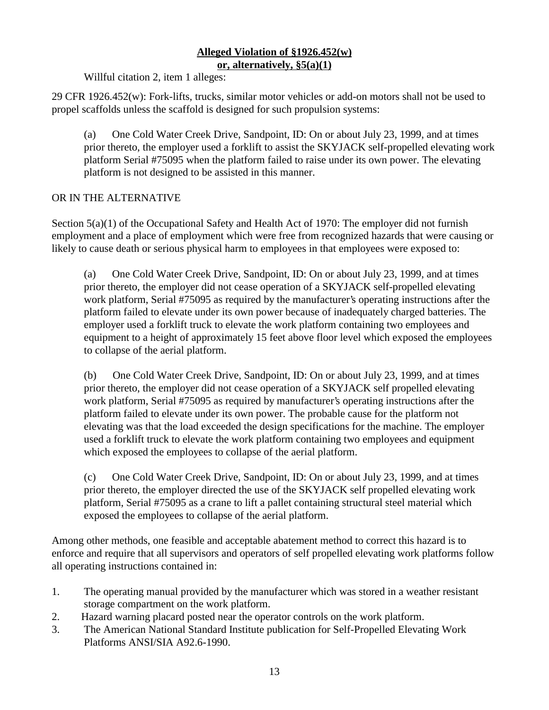# **Alleged Violation of §1926.452(w) or, alternatively, §5(a)(1)**

Willful citation 2, item 1 alleges:

29 CFR 1926.452(w): Fork-lifts, trucks, similar motor vehicles or add-on motors shall not be used to propel scaffolds unless the scaffold is designed for such propulsion systems:

(a) One Cold Water Creek Drive, Sandpoint, ID: On or about July 23, 1999, and at times prior thereto, the employer used a forklift to assist the SKYJACK self-propelled elevating work platform Serial #75095 when the platform failed to raise under its own power. The elevating platform is not designed to be assisted in this manner.

# OR IN THE ALTERNATIVE

Section  $5(a)(1)$  of the Occupational Safety and Health Act of 1970: The employer did not furnish employment and a place of employment which were free from recognized hazards that were causing or likely to cause death or serious physical harm to employees in that employees were exposed to:

(a) One Cold Water Creek Drive, Sandpoint, ID: On or about July 23, 1999, and at times prior thereto, the employer did not cease operation of a SKYJACK self-propelled elevating work platform, Serial #75095 as required by the manufacturer's operating instructions after the platform failed to elevate under its own power because of inadequately charged batteries. The employer used a forklift truck to elevate the work platform containing two employees and equipment to a height of approximately 15 feet above floor level which exposed the employees to collapse of the aerial platform.

(b) One Cold Water Creek Drive, Sandpoint, ID: On or about July 23, 1999, and at times prior thereto, the employer did not cease operation of a SKYJACK self propelled elevating work platform, Serial #75095 as required by manufacturer's operating instructions after the platform failed to elevate under its own power. The probable cause for the platform not elevating was that the load exceeded the design specifications for the machine. The employer used a forklift truck to elevate the work platform containing two employees and equipment which exposed the employees to collapse of the aerial platform.

(c) One Cold Water Creek Drive, Sandpoint, ID: On or about July 23, 1999, and at times prior thereto, the employer directed the use of the SKYJACK self propelled elevating work platform, Serial #75095 as a crane to lift a pallet containing structural steel material which exposed the employees to collapse of the aerial platform.

Among other methods, one feasible and acceptable abatement method to correct this hazard is to enforce and require that all supervisors and operators of self propelled elevating work platforms follow all operating instructions contained in:

- 1. The operating manual provided by the manufacturer which was stored in a weather resistant storage compartment on the work platform.
- 2. Hazard warning placard posted near the operator controls on the work platform.
- 3. The American National Standard Institute publication for Self-Propelled Elevating Work Platforms ANSI/SIA A92.6-1990.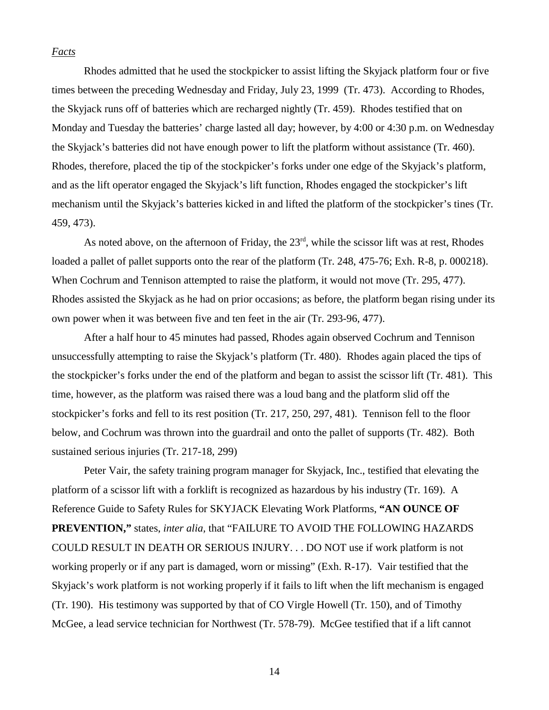### *Facts*

Rhodes admitted that he used the stockpicker to assist lifting the Skyjack platform four or five times between the preceding Wednesday and Friday, July 23, 1999 (Tr. 473). According to Rhodes, the Skyjack runs off of batteries which are recharged nightly (Tr. 459). Rhodes testified that on Monday and Tuesday the batteries' charge lasted all day; however, by 4:00 or 4:30 p.m. on Wednesday the Skyjack's batteries did not have enough power to lift the platform without assistance (Tr. 460). Rhodes, therefore, placed the tip of the stockpicker's forks under one edge of the Skyjack's platform, and as the lift operator engaged the Skyjack's lift function, Rhodes engaged the stockpicker's lift mechanism until the Skyjack's batteries kicked in and lifted the platform of the stockpicker's tines (Tr. 459, 473).

As noted above, on the afternoon of Friday, the  $23<sup>rd</sup>$ , while the scissor lift was at rest, Rhodes loaded a pallet of pallet supports onto the rear of the platform (Tr. 248, 475-76; Exh. R-8, p. 000218). When Cochrum and Tennison attempted to raise the platform, it would not move (Tr. 295, 477). Rhodes assisted the Skyjack as he had on prior occasions; as before, the platform began rising under its own power when it was between five and ten feet in the air (Tr. 293-96, 477).

After a half hour to 45 minutes had passed, Rhodes again observed Cochrum and Tennison unsuccessfully attempting to raise the Skyjack's platform (Tr. 480). Rhodes again placed the tips of the stockpicker's forks under the end of the platform and began to assist the scissor lift (Tr. 481). This time, however, as the platform was raised there was a loud bang and the platform slid off the stockpicker's forks and fell to its rest position (Tr. 217, 250, 297, 481). Tennison fell to the floor below, and Cochrum was thrown into the guardrail and onto the pallet of supports (Tr. 482). Both sustained serious injuries (Tr. 217-18, 299)

Peter Vair, the safety training program manager for Skyjack, Inc., testified that elevating the platform of a scissor lift with a forklift is recognized as hazardous by his industry (Tr. 169). A Reference Guide to Safety Rules for SKYJACK Elevating Work Platforms, **"AN OUNCE OF PREVENTION,"** states, *inter alia,* that "FAILURE TO AVOID THE FOLLOWING HAZARDS COULD RESULT IN DEATH OR SERIOUS INJURY. . . DO NOT use if work platform is not working properly or if any part is damaged, worn or missing" (Exh. R-17). Vair testified that the Skyjack's work platform is not working properly if it fails to lift when the lift mechanism is engaged (Tr. 190). His testimony was supported by that of CO Virgle Howell (Tr. 150), and of Timothy McGee, a lead service technician for Northwest (Tr. 578-79). McGee testified that if a lift cannot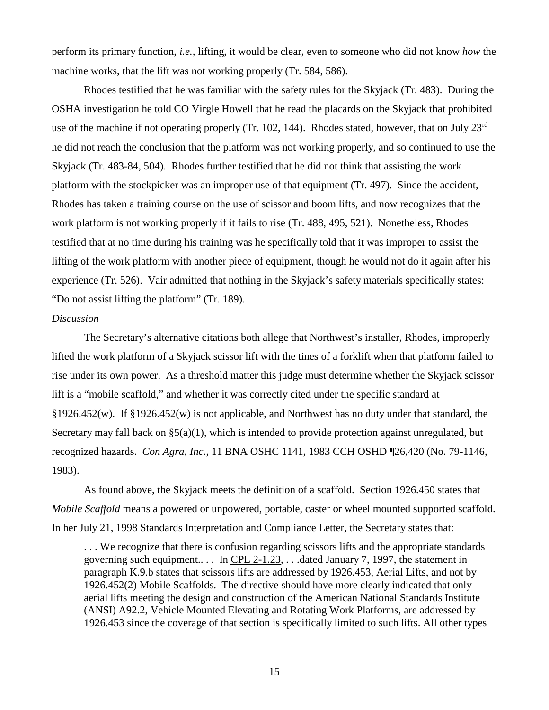perform its primary function, *i.e.,* lifting, it would be clear, even to someone who did not know *how* the machine works, that the lift was not working properly (Tr. 584, 586).

Rhodes testified that he was familiar with the safety rules for the Skyjack (Tr. 483). During the OSHA investigation he told CO Virgle Howell that he read the placards on the Skyjack that prohibited use of the machine if not operating properly (Tr. 102, 144). Rhodes stated, however, that on July 23<sup>rd</sup> he did not reach the conclusion that the platform was not working properly, and so continued to use the Skyjack (Tr. 483-84, 504). Rhodes further testified that he did not think that assisting the work platform with the stockpicker was an improper use of that equipment (Tr. 497). Since the accident, Rhodes has taken a training course on the use of scissor and boom lifts, and now recognizes that the work platform is not working properly if it fails to rise (Tr. 488, 495, 521). Nonetheless, Rhodes testified that at no time during his training was he specifically told that it was improper to assist the lifting of the work platform with another piece of equipment, though he would not do it again after his experience (Tr. 526). Vair admitted that nothing in the Skyjack's safety materials specifically states: "Do not assist lifting the platform" (Tr. 189).

#### *Discussion*

The Secretary's alternative citations both allege that Northwest's installer, Rhodes, improperly lifted the work platform of a Skyjack scissor lift with the tines of a forklift when that platform failed to rise under its own power. As a threshold matter this judge must determine whether the Skyjack scissor lift is a "mobile scaffold," and whether it was correctly cited under the specific standard at §1926.452(w). If §1926.452(w) is not applicable, and Northwest has no duty under that standard, the Secretary may fall back on  $\S5(a)(1)$ , which is intended to provide protection against unregulated, but recognized hazards. *Con Agra, Inc.*, 11 BNA OSHC 1141, 1983 CCH OSHD ¶26,420 (No. 79-1146, 1983).

As found above, the Skyjack meets the definition of a scaffold. Section 1926.450 states that *Mobile Scaffold* means a powered or unpowered, portable, caster or wheel mounted supported scaffold. In her July 21, 1998 Standards Interpretation and Compliance Letter, the Secretary states that:

. . . We recognize that there is confusion regarding scissors lifts and the appropriate standards governing such equipment.. . . In CPL 2-1.23, . . .dated January 7, 1997, the statement in paragraph K.9.b states that scissors lifts are addressed by 1926.453, Aerial Lifts, and not by 1926.452(2) Mobile Scaffolds. The directive should have more clearly indicated that only aerial lifts meeting the design and construction of the American National Standards Institute (ANSI) A92.2, Vehicle Mounted Elevating and Rotating Work Platforms, are addressed by 1926.453 since the coverage of that section is specifically limited to such lifts. All other types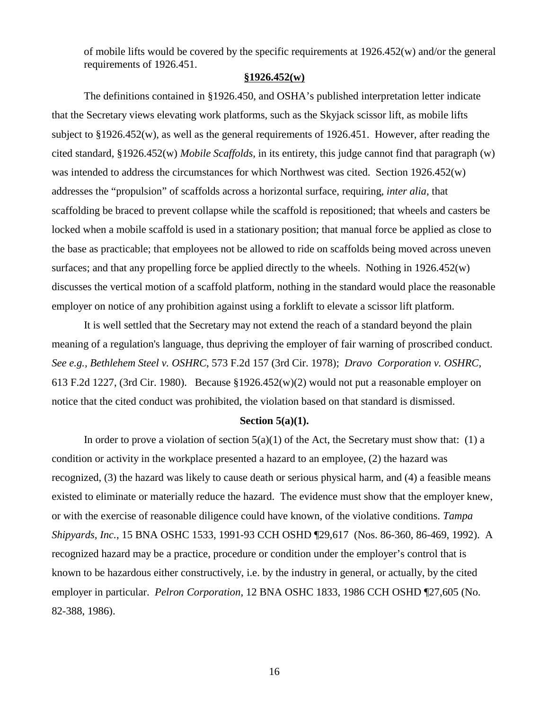of mobile lifts would be covered by the specific requirements at 1926.452(w) and/or the general requirements of 1926.451.

# **§1926.452(w)**

The definitions contained in §1926.450, and OSHA's published interpretation letter indicate that the Secretary views elevating work platforms, such as the Skyjack scissor lift, as mobile lifts subject to  $\S 1926.452(w)$ , as well as the general requirements of 1926.451. However, after reading the cited standard, §1926.452(w) *Mobile Scaffolds,* in its entirety, this judge cannot find that paragraph (w) was intended to address the circumstances for which Northwest was cited. Section 1926.452(w) addresses the "propulsion" of scaffolds across a horizontal surface, requiring, *inter alia,* that scaffolding be braced to prevent collapse while the scaffold is repositioned; that wheels and casters be locked when a mobile scaffold is used in a stationary position; that manual force be applied as close to the base as practicable; that employees not be allowed to ride on scaffolds being moved across uneven surfaces; and that any propelling force be applied directly to the wheels. Nothing in  $1926.452(w)$ discusses the vertical motion of a scaffold platform, nothing in the standard would place the reasonable employer on notice of any prohibition against using a forklift to elevate a scissor lift platform.

It is well settled that the Secretary may not extend the reach of a standard beyond the plain meaning of a regulation's language, thus depriving the employer of fair warning of proscribed conduct. *See e.g., Bethlehem Steel v. OSHRC*, 573 F.2d 157 (3rd Cir. 1978); *Dravo Corporation v. OSHRC,* 613 F.2d 1227, (3rd Cir. 1980). Because  $$1926.452(w)(2)$  would not put a reasonable employer on notice that the cited conduct was prohibited, the violation based on that standard is dismissed.

# **Section 5(a)(1).**

In order to prove a violation of section  $5(a)(1)$  of the Act, the Secretary must show that: (1) a condition or activity in the workplace presented a hazard to an employee, (2) the hazard was recognized, (3) the hazard was likely to cause death or serious physical harm, and (4) a feasible means existed to eliminate or materially reduce the hazard. The evidence must show that the employer knew, or with the exercise of reasonable diligence could have known, of the violative conditions. *Tampa Shipyards, Inc.*, 15 BNA OSHC 1533, 1991-93 CCH OSHD ¶29,617 (Nos. 86-360, 86-469, 1992). A recognized hazard may be a practice, procedure or condition under the employer's control that is known to be hazardous either constructively, i.e. by the industry in general, or actually, by the cited employer in particular. *Pelron Corporation*, 12 BNA OSHC 1833, 1986 CCH OSHD ¶27,605 (No. 82-388, 1986).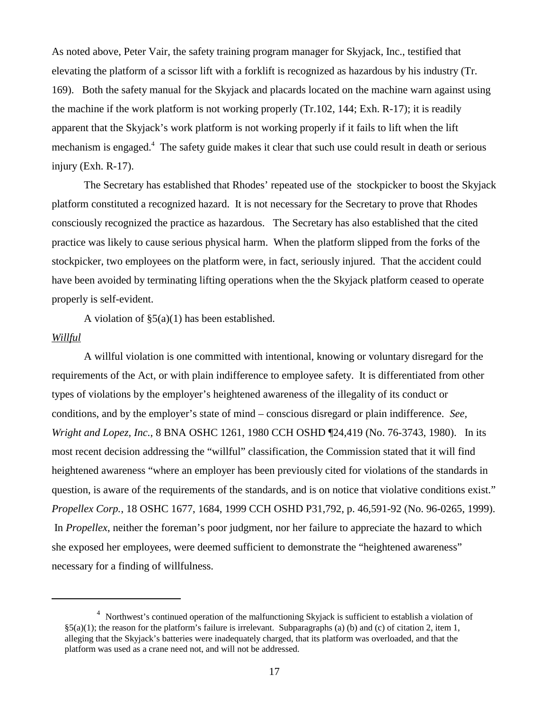As noted above, Peter Vair, the safety training program manager for Skyjack, Inc., testified that elevating the platform of a scissor lift with a forklift is recognized as hazardous by his industry (Tr. 169). Both the safety manual for the Skyjack and placards located on the machine warn against using the machine if the work platform is not working properly (Tr.102, 144; Exh. R-17); it is readily apparent that the Skyjack's work platform is not working properly if it fails to lift when the lift mechanism is engaged.<sup>4</sup> The safety guide makes it clear that such use could result in death or serious injury (Exh. R-17).

The Secretary has established that Rhodes' repeated use of the stockpicker to boost the Skyjack platform constituted a recognized hazard. It is not necessary for the Secretary to prove that Rhodes consciously recognized the practice as hazardous. The Secretary has also established that the cited practice was likely to cause serious physical harm. When the platform slipped from the forks of the stockpicker, two employees on the platform were, in fact, seriously injured. That the accident could have been avoided by terminating lifting operations when the the Skyjack platform ceased to operate properly is self-evident.

A violation of  $\S5(a)(1)$  has been established.

### *Willful*

A willful violation is one committed with intentional, knowing or voluntary disregard for the requirements of the Act, or with plain indifference to employee safety. It is differentiated from other types of violations by the employer's heightened awareness of the illegality of its conduct or conditions, and by the employer's state of mind – conscious disregard or plain indifference. *See, Wright and Lopez, Inc.*, 8 BNA OSHC 1261, 1980 CCH OSHD ¶24,419 (No. 76-3743, 1980). In its most recent decision addressing the "willful" classification, the Commission stated that it will find heightened awareness "where an employer has been previously cited for violations of the standards in question, is aware of the requirements of the standards, and is on notice that violative conditions exist." *Propellex Corp.*, 18 OSHC 1677, 1684, 1999 CCH OSHD P31,792, p. 46,591-92 (No. 96-0265, 1999). In *Propellex*, neither the foreman's poor judgment, nor her failure to appreciate the hazard to which she exposed her employees, were deemed sufficient to demonstrate the "heightened awareness" necessary for a finding of willfulness.

<sup>&</sup>lt;sup>4</sup> Northwest's continued operation of the malfunctioning Skyjack is sufficient to establish a violation of  $\S5(a)(1)$ ; the reason for the platform's failure is irrelevant. Subparagraphs (a) (b) and (c) of citation 2, item 1, alleging that the Skyjack's batteries were inadequately charged, that its platform was overloaded, and that the platform was used as a crane need not, and will not be addressed.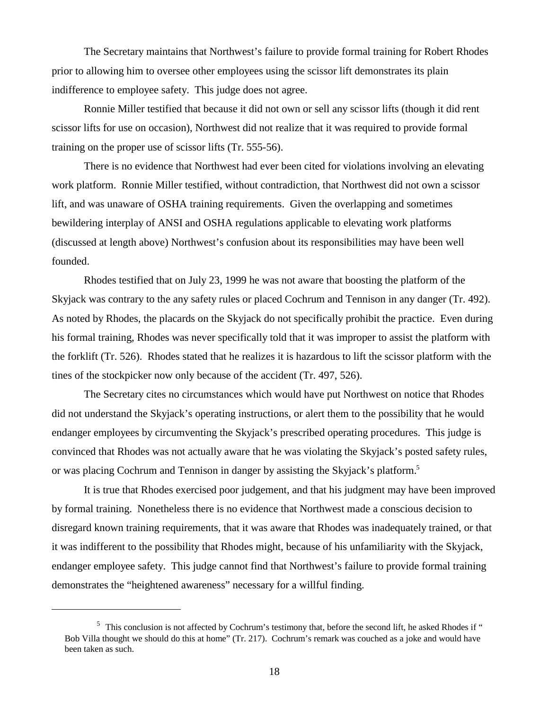The Secretary maintains that Northwest's failure to provide formal training for Robert Rhodes prior to allowing him to oversee other employees using the scissor lift demonstrates its plain indifference to employee safety. This judge does not agree.

Ronnie Miller testified that because it did not own or sell any scissor lifts (though it did rent scissor lifts for use on occasion), Northwest did not realize that it was required to provide formal training on the proper use of scissor lifts (Tr. 555-56).

There is no evidence that Northwest had ever been cited for violations involving an elevating work platform. Ronnie Miller testified, without contradiction, that Northwest did not own a scissor lift, and was unaware of OSHA training requirements. Given the overlapping and sometimes bewildering interplay of ANSI and OSHA regulations applicable to elevating work platforms (discussed at length above) Northwest's confusion about its responsibilities may have been well founded.

Rhodes testified that on July 23, 1999 he was not aware that boosting the platform of the Skyjack was contrary to the any safety rules or placed Cochrum and Tennison in any danger (Tr. 492). As noted by Rhodes, the placards on the Skyjack do not specifically prohibit the practice. Even during his formal training, Rhodes was never specifically told that it was improper to assist the platform with the forklift (Tr. 526). Rhodes stated that he realizes it is hazardous to lift the scissor platform with the tines of the stockpicker now only because of the accident (Tr. 497, 526).

The Secretary cites no circumstances which would have put Northwest on notice that Rhodes did not understand the Skyjack's operating instructions, or alert them to the possibility that he would endanger employees by circumventing the Skyjack's prescribed operating procedures. This judge is convinced that Rhodes was not actually aware that he was violating the Skyjack's posted safety rules, or was placing Cochrum and Tennison in danger by assisting the Skyjack's platform.<sup>5</sup>

It is true that Rhodes exercised poor judgement, and that his judgment may have been improved by formal training. Nonetheless there is no evidence that Northwest made a conscious decision to disregard known training requirements, that it was aware that Rhodes was inadequately trained, or that it was indifferent to the possibility that Rhodes might, because of his unfamiliarity with the Skyjack, endanger employee safety. This judge cannot find that Northwest's failure to provide formal training demonstrates the "heightened awareness" necessary for a willful finding.

<sup>&</sup>lt;sup>5</sup> This conclusion is not affected by Cochrum's testimony that, before the second lift, he asked Rhodes if " Bob Villa thought we should do this at home" (Tr. 217). Cochrum's remark was couched as a joke and would have been taken as such.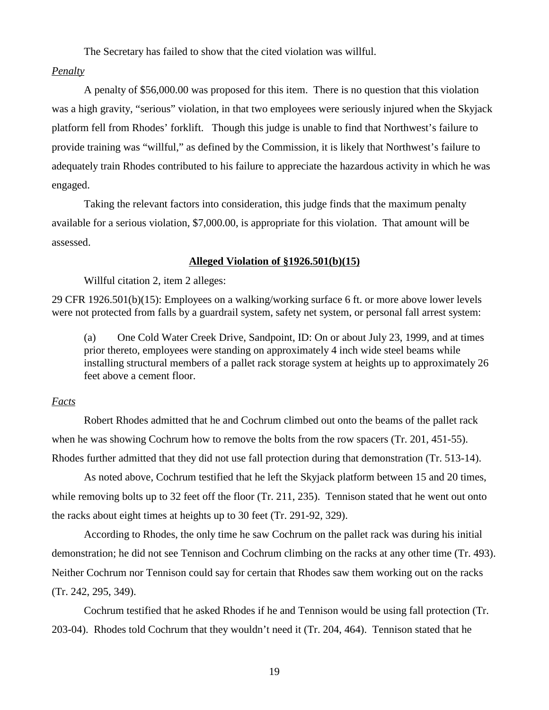The Secretary has failed to show that the cited violation was willful.

# *Penalty*

A penalty of \$56,000.00 was proposed for this item. There is no question that this violation was a high gravity, "serious" violation, in that two employees were seriously injured when the Skyjack platform fell from Rhodes' forklift. Though this judge is unable to find that Northwest's failure to provide training was "willful," as defined by the Commission, it is likely that Northwest's failure to adequately train Rhodes contributed to his failure to appreciate the hazardous activity in which he was engaged.

Taking the relevant factors into consideration, this judge finds that the maximum penalty available for a serious violation, \$7,000.00, is appropriate for this violation. That amount will be assessed.

# **Alleged Violation of §1926.501(b)(15)**

Willful citation 2, item 2 alleges:

29 CFR 1926.501(b)(15): Employees on a walking/working surface 6 ft. or more above lower levels were not protected from falls by a guardrail system, safety net system, or personal fall arrest system:

(a) One Cold Water Creek Drive, Sandpoint, ID: On or about July 23, 1999, and at times prior thereto, employees were standing on approximately 4 inch wide steel beams while installing structural members of a pallet rack storage system at heights up to approximately 26 feet above a cement floor.

# *Facts*

Robert Rhodes admitted that he and Cochrum climbed out onto the beams of the pallet rack when he was showing Cochrum how to remove the bolts from the row spacers (Tr. 201, 451-55). Rhodes further admitted that they did not use fall protection during that demonstration (Tr. 513-14).

As noted above, Cochrum testified that he left the Skyjack platform between 15 and 20 times, while removing bolts up to 32 feet off the floor (Tr. 211, 235). Tennison stated that he went out onto the racks about eight times at heights up to 30 feet (Tr. 291-92, 329).

According to Rhodes, the only time he saw Cochrum on the pallet rack was during his initial demonstration; he did not see Tennison and Cochrum climbing on the racks at any other time (Tr. 493). Neither Cochrum nor Tennison could say for certain that Rhodes saw them working out on the racks (Tr. 242, 295, 349).

Cochrum testified that he asked Rhodes if he and Tennison would be using fall protection (Tr. 203-04). Rhodes told Cochrum that they wouldn't need it (Tr. 204, 464). Tennison stated that he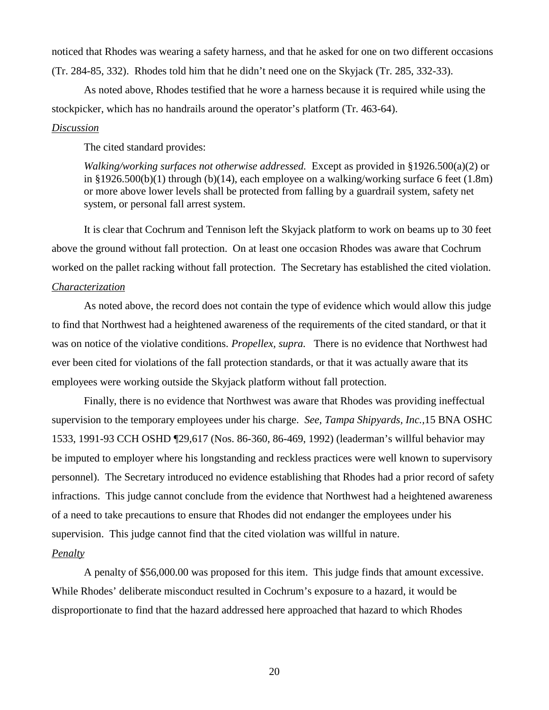noticed that Rhodes was wearing a safety harness, and that he asked for one on two different occasions (Tr. 284-85, 332). Rhodes told him that he didn't need one on the Skyjack (Tr. 285, 332-33).

As noted above, Rhodes testified that he wore a harness because it is required while using the stockpicker, which has no handrails around the operator's platform (Tr. 463-64).

# *Discussion*

The cited standard provides:

*Walking/working surfaces not otherwise addressed.* Except as provided in §1926.500(a)(2) or in §1926.500(b)(1) through (b)(14), each employee on a walking/working surface 6 feet  $(1.8m)$ or more above lower levels shall be protected from falling by a guardrail system, safety net system, or personal fall arrest system.

It is clear that Cochrum and Tennison left the Skyjack platform to work on beams up to 30 feet above the ground without fall protection. On at least one occasion Rhodes was aware that Cochrum worked on the pallet racking without fall protection. The Secretary has established the cited violation.

## *Characterization*

As noted above, the record does not contain the type of evidence which would allow this judge to find that Northwest had a heightened awareness of the requirements of the cited standard, or that it was on notice of the violative conditions. *Propellex, supra.* There is no evidence that Northwest had ever been cited for violations of the fall protection standards, or that it was actually aware that its employees were working outside the Skyjack platform without fall protection.

Finally, there is no evidence that Northwest was aware that Rhodes was providing ineffectual supervision to the temporary employees under his charge. *See, Tampa Shipyards, Inc.,*15 BNA OSHC 1533, 1991-93 CCH OSHD ¶29,617 (Nos. 86-360, 86-469, 1992) (leaderman's willful behavior may be imputed to employer where his longstanding and reckless practices were well known to supervisory personnel). The Secretary introduced no evidence establishing that Rhodes had a prior record of safety infractions. This judge cannot conclude from the evidence that Northwest had a heightened awareness of a need to take precautions to ensure that Rhodes did not endanger the employees under his supervision. This judge cannot find that the cited violation was willful in nature.

# *Penalty*

A penalty of \$56,000.00 was proposed for this item. This judge finds that amount excessive. While Rhodes' deliberate misconduct resulted in Cochrum's exposure to a hazard, it would be disproportionate to find that the hazard addressed here approached that hazard to which Rhodes